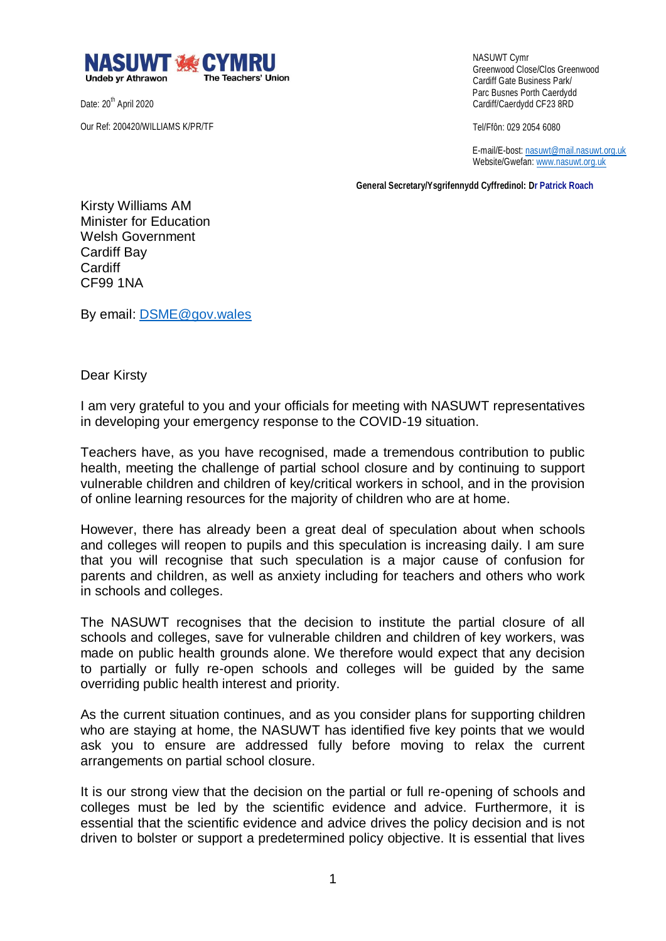

Date: 20<sup>th</sup> April 2020

Our Ref: 200420/WILLIAMS K/PR/TF

 NASUWT Cymr Greenwood Close/Clos Greenwood Cardiff Gate Business Park/ Parc Busnes Porth Caerdydd Cardiff/Caerdydd CF23 8RD

Tel/Ffôn: 029 2054 6080

 E-mail/E-bost: [nasuwt@mail.nasuwt.org.uk](mailto:nasuwt@mail.nasuwt.org.uk) Website/Gwefan[: www.nasuwt.org.uk](http://www.nasuwt.org.uk/)

 **General Secretary/Ysgrifennydd Cyffredinol: Dr Patrick Roach**

Kirsty Williams AM Minister for Education Welsh Government Cardiff Bay Cardiff CF99 1NA

By email: [DSME@gov.wales](mailto:DSME@gov.wales)

Dear Kirsty

I am very grateful to you and your officials for meeting with NASUWT representatives in developing your emergency response to the COVID-19 situation.

Teachers have, as you have recognised, made a tremendous contribution to public health, meeting the challenge of partial school closure and by continuing to support vulnerable children and children of key/critical workers in school, and in the provision of online learning resources for the majority of children who are at home.

However, there has already been a great deal of speculation about when schools and colleges will reopen to pupils and this speculation is increasing daily. I am sure that you will recognise that such speculation is a major cause of confusion for parents and children, as well as anxiety including for teachers and others who work in schools and colleges.

The NASUWT recognises that the decision to institute the partial closure of all schools and colleges, save for vulnerable children and children of key workers, was made on public health grounds alone. We therefore would expect that any decision to partially or fully re-open schools and colleges will be guided by the same overriding public health interest and priority.

As the current situation continues, and as you consider plans for supporting children who are staying at home, the NASUWT has identified five key points that we would ask you to ensure are addressed fully before moving to relax the current arrangements on partial school closure.

It is our strong view that the decision on the partial or full re-opening of schools and colleges must be led by the scientific evidence and advice. Furthermore, it is essential that the scientific evidence and advice drives the policy decision and is not driven to bolster or support a predetermined policy objective. It is essential that lives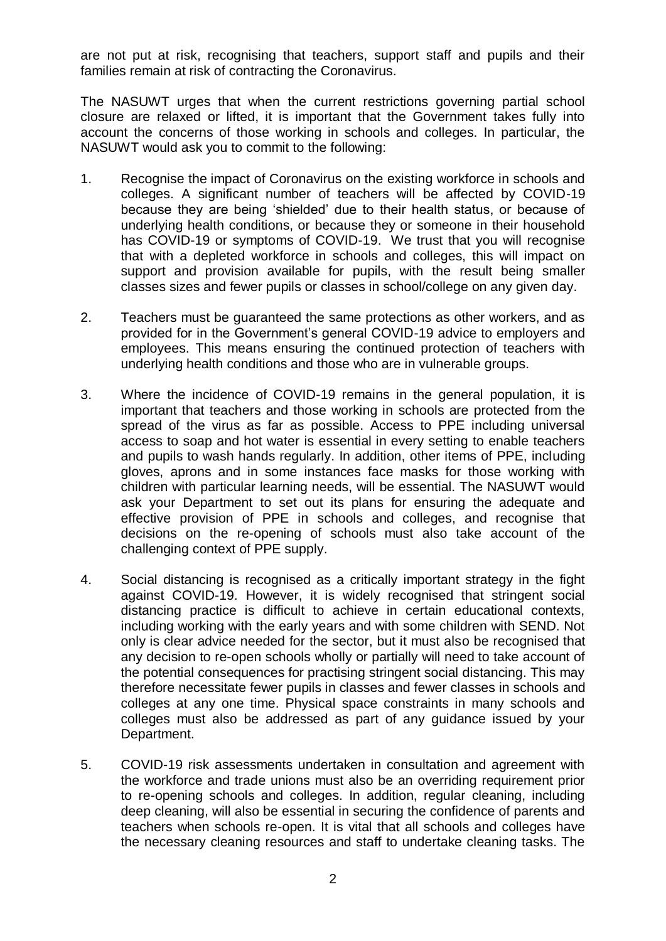are not put at risk, recognising that teachers, support staff and pupils and their families remain at risk of contracting the Coronavirus.

The NASUWT urges that when the current restrictions governing partial school closure are relaxed or lifted, it is important that the Government takes fully into account the concerns of those working in schools and colleges. In particular, the NASUWT would ask you to commit to the following:

- 1. Recognise the impact of Coronavirus on the existing workforce in schools and colleges. A significant number of teachers will be affected by COVID-19 because they are being 'shielded' due to their health status, or because of underlying health conditions, or because they or someone in their household has COVID-19 or symptoms of COVID-19. We trust that you will recognise that with a depleted workforce in schools and colleges, this will impact on support and provision available for pupils, with the result being smaller classes sizes and fewer pupils or classes in school/college on any given day.
- 2. Teachers must be guaranteed the same protections as other workers, and as provided for in the Government's general COVID-19 advice to employers and employees. This means ensuring the continued protection of teachers with underlying health conditions and those who are in vulnerable groups.
- 3. Where the incidence of COVID-19 remains in the general population, it is important that teachers and those working in schools are protected from the spread of the virus as far as possible. Access to PPE including universal access to soap and hot water is essential in every setting to enable teachers and pupils to wash hands regularly. In addition, other items of PPE, including gloves, aprons and in some instances face masks for those working with children with particular learning needs, will be essential. The NASUWT would ask your Department to set out its plans for ensuring the adequate and effective provision of PPE in schools and colleges, and recognise that decisions on the re-opening of schools must also take account of the challenging context of PPE supply.
- 4. Social distancing is recognised as a critically important strategy in the fight against COVID-19. However, it is widely recognised that stringent social distancing practice is difficult to achieve in certain educational contexts, including working with the early years and with some children with SEND. Not only is clear advice needed for the sector, but it must also be recognised that any decision to re-open schools wholly or partially will need to take account of the potential consequences for practising stringent social distancing. This may therefore necessitate fewer pupils in classes and fewer classes in schools and colleges at any one time. Physical space constraints in many schools and colleges must also be addressed as part of any guidance issued by your Department.
- 5. COVID-19 risk assessments undertaken in consultation and agreement with the workforce and trade unions must also be an overriding requirement prior to re-opening schools and colleges. In addition, regular cleaning, including deep cleaning, will also be essential in securing the confidence of parents and teachers when schools re-open. It is vital that all schools and colleges have the necessary cleaning resources and staff to undertake cleaning tasks. The